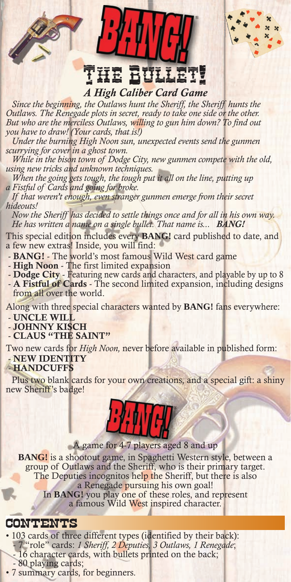# *A High Caliber Card Game* The Bullet!

®

*Since the beginning, the Outlaws hunt the Sheriff, the Sheriff hunts the Outlaws. The Renegade plots in secret, ready to take one side or the other. But who are the merciless Outlaws, willing to gun him down? To find out you have to draw! (Your cards, that is!)*

*Under the burning High Noon sun, unexpected events send the gunmen scurrying for cover in a ghost town.*

*While in the bison town of Dodge City, new gunmen compete with the old, using new tricks and unknown techniques.*

When the going gets tough, the tough put it all on the line, putting up *a Fistful of Cards and going for broke.*

*If that weren't enough, even stranger gunmen emerge from their secret hideouts!*

*Now the Sheriff has decided to settle things once and for all in his own way. He has written a name on a single bullet. That name is... BANG!*

This special edition includes every **BANG!** card published to date, and a few new extras! Inside, you will find:

- BANG! The world's most famous Wild West card game
- High Noon The first limited expansion
- Dodge City Featuring new cards and characters, and playable by up to 8
- A Fistful of Cards The second limited expansion, including designs from all over the world.

Along with three special characters wanted by **BANG!** fans everywhere:

- UNCLE WILL

- JOHNNY KISCH
- CLAUS "THE SAINT"

Two new cards for *High Noon,* never before available in published form: - NEW IDENTITY

#### - HANDCUFFS

Plus two blank cards for your own creations, and a special gift: a shiny new Sheriff's badge!



A game for 4-7 players aged 8 and up

**BANG!** is a shootout game, in Spaghetti Western style, between a group of Outlaws and the Sheriff, who is their primary target. The Deputies incognitos help the Sheriff, but there is also a Renegade pursuing his own goal! In **BANG!** you play one of these roles, and represent a famous Wild West inspired character.

#### CONTENTS

• 103 cards of three different types (identified by their back): - 7 "role" cards: *1 Sheriff, 2 Deputies, 3 Outlaws, 1 Renegade*; - 16 character cards, with bullets printed on the back; - 80 playing cards;

• 7 summary cards, for beginners.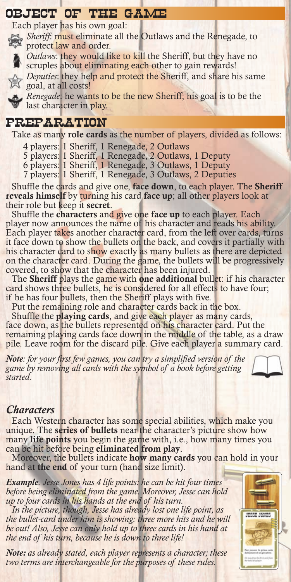# OBJECT OF THE GAME

Each player has his own goal:

*Sheriff*: must eliminate all the Outlaws and the Renegade, to protect law and order.



*Outlaws*: they would like to kill the Sheriff, but they have no

scruples about eliminating each other to gain rewards!

*Deputies*: they help and protect the Sheriff, and share his same goal, at all costs!



*Renegade*: he wants to be the new Sheriff; his goal is to be the last character in play. last character in play.

# PREPARATION

Take as many role cards as the number of players, divided as follows:

- 4 players: 1 Sheriff, 1 Renegade, 2 Outlaws
- 5 players: 1 Sheriff, 1 Renegade, 2 Outlaws, 1 Deputy
- 6 players: 1 Sheriff, 1 Renegade, 3 Outlaws, 1 Deputy
- 7 players: 1 Sheriff, 1 Renegade, 3 Outlaws, 2 Deputies

Shuffle the cards and give one, face down, to each player. The Sheriff reveals himself by turning his card face up; all other players look at their role but keep it secret.

Shuffle the characters and give one face up to each player. Each player now announces the name of his character and reads his ability. Each player takes another character card, from the left over cards, turns it face down to show the bullets on the back, and covers it partially with his character card to show exactly as many bullets as there are depicted on the character card. During the game, the bullets will be progressively covered, to show that the character has been injured.

The Sheriff plays the game with one additional bullet: if his character card shows three bullets, he is considered for all effects to have four; if he has four bullets, then the Sheriff plays with five.

Put the remaining role and character cards back in the box.

Shuffle the playing cards, and give each player as many cards, face down, as the bullets represented on his character card. Put the remaining playing cards face down in the middle of the table, as a draw pile. Leave room for the discard pile. Give each player a summary card.

*Note: for your first few games, you can try a simplified version of the game by removing all cards with the symbol of a book before getting started.*



#### *Characters*

Each Western character has some special abilities, which make you unique. The **series of bullets** near the character's picture show how many life points you begin the game with, i.e., how many times you can be hit before being eliminated from play.

Moreover, the bullets indicate how many cards you can hold in your hand at the end of your turn (hand size limit).

*Example. Jesse Jones has 4 life points: he can be hit four times before being eliminated from the game. Moreover, Jesse can hold up to four cards in his hands at the end of his turn.*

*In the picture, though, Jesse has already lost one life point, as the bullet-card under him is showing: three more hits and he will be out! Also, Jesse can only hold up to three cards in his hand at the end of his turn, because he is down to three life!*

*Note: as already stated, each player represents a character; these two terms are interchangeable for the purposes of these rules.*

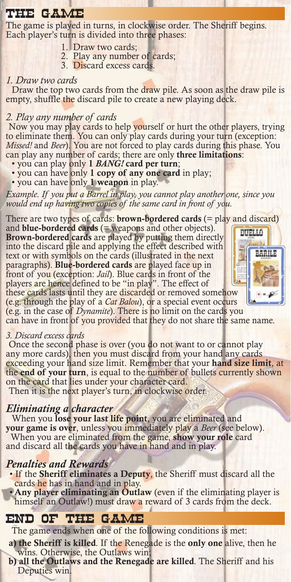# THE GAME

The game is played in turns, in clockwise order. The Sheriff begins. Each player's turn is divided into three phases:

- 1. Draw two cards;
- 2. Play any number of cards;
- 3. Discard excess cards.

#### *1. Draw two cards*

Draw the top two cards from the draw pile. As soon as the draw pile is empty, shuffle the discard pile to create a new playing deck.

#### *2. Play any number of cards*

Now you may play cards to help yourself or hurt the other players, trying to eliminate them. You can only play cards during your turn (exception: *Missed!* and *Beer*). You are not forced to play cards during this phase. You can play any number of cards; there are only three limitations:

- you can play only 1 *BANG!* card per turn;
- you can have only 1 copy of any one card in play;
- you can have only 1 weapon in play.

*Example. If you put a Barrel in play, you cannot play another one, since you would end up having two copies of the same card in front of you.*

There are two types of cards: **brown-bordered cards** (= play and discard)

and **blue-bordered cards**  $($  = weapons and other objects $)$ . Brown-bordered cards are played by putting them directly into the discard pile and applying the effect described with text or with symbols on the cards (illustrated in the next paragraphs). Blue-bordered cards are played face up in front of you (exception: *Jail*). Blue cards in front of the players are hence defined to be "in play". The effect of these cards lasts until they are discarded or removed somehow



(e.g. through the play of a *Cat Balou*), or a special event occurs (e.g. in the case of *Dynamite*). There is no limit on the cards you

can have in front of you provided that they do not share the same name.

#### *3. Discard excess cards*

Once the second phase is over (you do not want to or cannot play any more cards), then you must discard from your hand any cards exceeding your hand size limit. Remember that your hand size limit, at the end of your turn, is equal to the number of bullets currently shown on the card that lies under your character card.

Then it is the next player's turn, in clockwise order.

#### *Eliminating a character*

When you lose your last life point, you are eliminated and your game is over, unless you immediately play a *Beer* (see below). When you are eliminated from the game, show your role card and discard all the cards you have in hand and in play.

#### *Penalties and Rewards*

- If the Sheriff eliminates a Deputy, the Sheriff must discard all the cards he has in hand and in play.
- Any player eliminating an Outlaw (even if the eliminating player is himself an Outlaw!) must draw a reward of 3 cards from the deck.

# END OF THE GAME

The game ends when one of the following conditions is met:

a) the Sheriff is killed*.* If the Renegade is the only one alive, then he wins. Otherwise, the Outlaws win;

b) all the Outlaws and the Renegade are killed*.* The Sheriff and his Deputies win.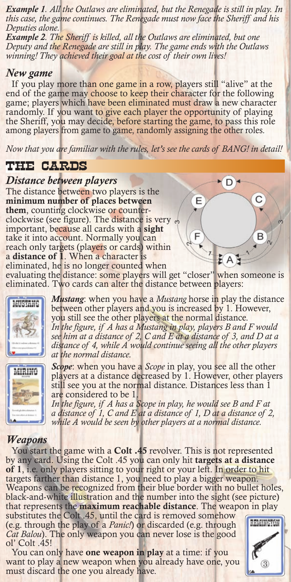*Example 1. All the Outlaws are eliminated, but the Renegade is still in play. In this case, the game continues. The Renegade must now face the Sheriff and his Deputies alone.*

*Example 2. The Sheriff is killed, all the Outlaws are eliminated, but one Deputy and the Renegade are still in play. The game ends with the Outlaws winning! They achieved their goal at the cost of their own lives!*

#### *New game*

If you play more than one game in a row, players still "alive" at the end of the game may choose to keep their character for the following game; players which have been eliminated must draw a new character randomly. If you want to give each player the opportunity of playing the Sheriff, you may decide, before starting the game, to pass this role among players from game to game, randomly assigning the other roles.

*Now that you are familiar with the rules, let's see the cards of BANG! in detail!*

# THE CARDS

#### *Distance between players*

The distance between two players is the minimum number of places between them, counting clockwise or counterclockwise (see figure). The distance is very important, because all cards with a sight take it into account. Normally you can reach only targets (players or cards) within a distance of 1. When a character is eliminated, he is no longer counted when

evaluating the distance: some players will get "closer" when someone is eliminated. Two cards can alter the distance between players:



*Mustang*: when you have a *Mustang* horse in play the distance between other players and you is increased by 1. However, you still see the other players at the normal distance. *In the figure, if A has a Mustang in play, players B and F would see him at a distance of 2, C and E at a distance of 3, and D at a distance of 4, while A would continue seeing all the other players at the normal distance.*

Е



*Scope*: when you have a *Scope* in play, you see all the other players at a distance decreased by 1. However, other players still see you at the normal distance. Distances less than 1 are considered to be 1.

In the figure, if A has a Scope in play, he would see B and F at *a distance of 1, C and E at a distance of 1, D at a distance of 2, while A would be seen by other players at a normal distance.*

#### *Weapons*

You start the game with a **Colt .45** revolver. This is not represented by any card. Using the Colt .45 you can only hit targets at a distance of 1, i.e. only players sitting to your right or your left. In order to hit targets farther than distance 1, you need to play a bigger weapon. Weapons can be recognized from their blue border with no bullet holes, black-and-white illustration and the number into the sight (see picture) that represents the **maximum reachable distance**. The weapon in play substitutes the Colt .45, until the card is removed somehow REMINSTON (e.g. through the play of a *Panic!*) or discarded (e.g. through *Cat Balou*). The only weapon you can never lose is the good ol' Colt .45!

You can only have one weapon in play at a time: if you want to play a new weapon when you already have one, you must discard the one you already have.



R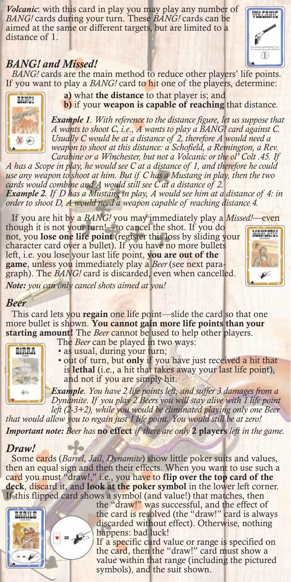*Volcanic*: with this card in play you may play any number of *BANG!* cards during your turn. These *BANG!* cards can be aimed at the same or different targets, but are limited to a distance of 1.

#### *BANG! and Missed!*

*BANG!* cards are the main method to reduce other players' life points. If you want to play a *BANG!* card to hit one of the players, determine:



a) what the distance to that player is; and b) if your weapon is capable of reaching that distance.

*Example 1. With reference to the distance figure, let us suppose that A wants to shoot C, i.e., A wants to play a BANG! card against C. Usually C would be at a distance of 2, therefore A would need a*  weapon to shoot at this distance: a Schofield, a Remington, a Rev. *Carabine or a Winchester, but not a Volcanic or the ol' Colt .45. If* 

*A has a Scope in play, he would see C at a distance of 1, and therefore he could use any weapon to shoot at him. But if C has a Mustang in play, then the two cards would combine and A would still see C at a distance of 2. Example 2. If D has a Mustang in play, A would see him at a distance of 4: in order to shoot D, A would need a weapon capable of reaching distance 4.*

If you are hit by a *BANG!* you may immediately play a *Missed!*—even

though it is not your turn!—to cancel the shot. If you do not, you lose one life point (register this loss by sliding your character card over a bullet). If you have no more bullets left, i.e. you lose your last life point, you are out of the game, unless you immediately play a *Beer* (see next paragraph). The *BANG!* card is discarded, even when cancelled.



*Note: you can only cancel shots aimed at you!*

#### *Beer*

This card lets you regain one life point—slide the card so that one more bullet is shown. You cannot gain more life points than your starting amount! The *Beer* cannot be used to help other players.



The *Beer* can be played in two ways: • as usual, during your turn;

• out of turn, but only if you have just received a hit that is lethal (i.e., a hit that takes away your last life point), and not if you are simply hit.

*Example. You have 2 life points left, and suffer 3 damages from a Dynamite. If you play 2 Beers you will stay alive with 1 life point left (2-3+2), while you would be eliminated playing only one Beer* 

*that would allow you to regain just 1 life point. You would still be at zero!*

*Important note: Beer has* no effect *if there are only* 2 players *left in the game.*

#### *Draw!*

Some cards (*Barrel*, *Jail*, *Dynamite*) show little poker suits and values, then an equal sign and then their effects. When you want to use such a card you must "draw!," i.e., you have to flip over the top card of the deck, discard it, and look at the poker symbol in the lower left corner. If this flipped card shows a symbol (and value!) that matches, then



the "draw!" was successful, and the effect of the card is resolved (the "draw!" card is always discarded without effect). Otherwise, nothing happens: bad luck!

If a specific card value or range is specified on the card, then the "draw!" card must show a value within that range (including the pictured symbols), and the suit shown.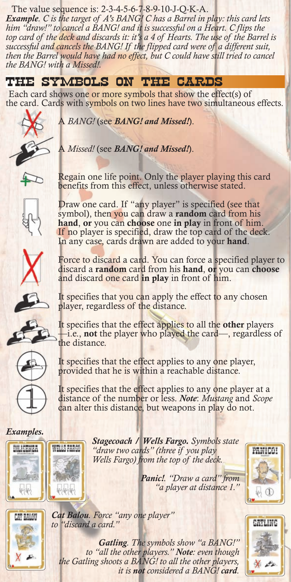#### The value sequence is: 2-3-4-5-6-7-8-9-10-J-Q-K-A.

*Example. C is the target of A's BANG! C has a Barrel in play: this card lets*  him "draw!" to cancel a BANG! and it is successful on a Heart. C flips the *top card of the deck and discards it: it's a 4 of Hearts. The use of the Barrel is successful and cancels the BANG! If the flipped card were of a different suit, then the Barrel would have had no effect, but C could have still tried to cancel the BANG! with a Missed!.*

# THE SYMBOLS ON THE CARDS

Each card shows one or more symbols that show the effect(s) of the card. Cards with symbols on two lines have two simultaneous effects.

A *BANG!* (see *BANG! and Missed!*).



A *Missed!* (see *BANG! and Missed!*).

Regain one life point. Only the player playing this card benefits from this effect, unless otherwise stated.



Draw one card. If "any player" is specified (see that symbol), then you can draw a random card from his hand, or you can choose one in play in front of him. If no player is specified, draw the top card of the deck. In any case, cards drawn are added to your hand.

Force to discard a card. You can force a specified player to discard a random card from his hand, or you can choose and discard one card in play in front of him.



It specifies that you can apply the effect to any chosen player, regardless of the distance.

It specifies that the effect applies to all the other players —i.e., not the player who played the card—, regardless of the distance.

It specifies that the effect applies to any one player, provided that he is within a reachable distance.

It specifies that the effect applies to any one player at a distance of the number or less. *Note*: *Mustang* and *Scope* can alter this distance, but weapons in play do not.

#### *Examples.*



*Stagecoach / Wells Fargo. Symbols state "draw two cards" (three if you play Wells Fargo) from the top of the deck.*





*Panic!. "Draw a card" from "a player at distance 1."*



*Gatling. The symbols show "a BANG!" to "all the other players." Note: even though the Gatling shoots a BANG! to all the other players, it is not considered a BANG! card.*

*Cat Balou. Force "any one player"*

*to "discard a card."*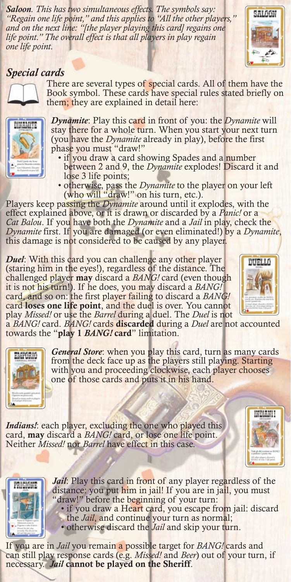*Saloon. This has two simultaneous effects. The symbols say: "Regain one life point," and this applies to "All the other players," and on the next line: "[the player playing this card] regains one life point." The overall effect is that all players in play regain one life point.*



#### *Special cards*



There are several types of special cards. All of them have the Book symbol. These cards have special rules stated briefly on them; they are explained in detail here:



*Dynamite*: Play this card in front of you: the *Dynamite* will stay there for a whole turn. When you start your next turn (you have the *Dynamite* already in play), before the first phase you must "draw!"

- if you draw a card showing Spades and a number between 2 and 9, the *Dynamite* explodes! Discard it and lose 3 life points;
- otherwise, pass the *Dynamite* to the player on your left (who will "draw!" on his turn, etc.).

Players keep passing the *Dynamite* around until it explodes, with the effect explained above, or it is drawn or discarded by a *Panic!* or a *Cat Balou*. If you have both the *Dynamite* and a *Jail* in play, check the *Dynamite* first. If you are damaged (or even eliminated!) by a *Dynamite*, this damage is not considered to be caused by any player.

*Duel*: With this card you can challenge any other player (staring him in the eyes!), regardless of the distance. The challenged player may discard a *BANG!* card (even though it is not his turn!). If he does, you may discard a *BANG!*  card, and so on: the first player failing to discard a *BANG!*  card loses one life point, and the duel is over. You cannot play *Missed*! or use the *Barrel* during a duel. The *Duel* is not



play *Missed!* or use the *Barrel* during a duel. The *Duel* is not a *BANG!* card. *BANG!* cards discarded during a *Duel* are not accounted towards the "play 1 *BANG!* card" limitation.



*General Store*: when you play this card, turn as many cards from the deck face up as the players still playing. Starting with you and proceeding clockwise, each player chooses one of those cards and puts it in his hand.

*Indians!*: each player, excluding the one who played this card, may discard a *BANG!* card, or lose one life point. Neither *Missed!* nor *Barrel* have effect in this case.





*Jail*: Play this card in front of any player regardless of the distance: you put him in jail! If you are in jail, you must "draw!" before the beginning of your turn:

• if you draw a Heart card, you escape from jail: discard the *Jail*, and continue your turn as normal; • otherwise discard the *Jail* and skip your turn.

If you are in *Jail* you remain a possible target for *BANG!* cards and can still play response cards (e.g. *Missed!* and *Beer*) out of your turn, if necessary. *Jail* cannot be played on the Sheriff.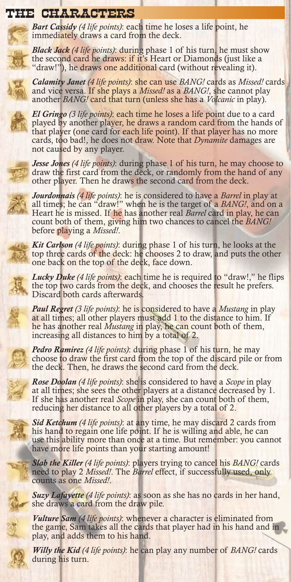# THE CHARACTERS

*Bart Cassidy (4 life points)*: each time he loses a life point, he immediately draws a card from the deck.

*Black Jack (4 life points)*: during phase 1 of his turn, he must show the second card he draws: if it's Heart or Diamonds (just like a "draw!"), he draws one additional card (without revealing it).



*Calamity Janet (4 life points)*: she can use *BANG!* cards as *Missed!* cards and vice versa. If she plays a *Missed!* as a *BANG!*, she cannot play another *BANG!* card that turn (unless she has a *Volcanic* in play).



*El Gringo (3 life points)*: each time he loses a life point due to a card played by another player, he draws a random card from the hands of that player (one card for each life point). If that player has no more cards, too bad!, he does not draw. Note that *Dynamite* damages are not caused by any player.

*Jesse Jones (4 life points)*: during phase 1 of his turn, he may choose to draw the first card from the deck, or randomly from the hand of any other player. Then he draws the second card from the deck.



*Jourdonnais (4 life points)*: he is considered to have a *Barrel* in play at all times; he can "draw!" when he is the target of a *BANG!*, and on a Heart he is missed. If he has another real *Barrel* card in play, he can count both of them, giving him two chances to cancel the *BANG!* before playing a *Missed!*.

*Kit Carlson (4 life points)*: during phase 1 of his turn, he looks at the top three cards of the deck: he chooses 2 to draw, and puts the other one back on the top of the deck, face down.

*Lucky Duke (4 life points)*: each time he is required to "draw!," he flips the top two cards from the deck, and chooses the result he prefers. Discard both cards afterwards.

*Paul Regret (3 life points)*: he is considered to have a *Mustang* in play at all times; all other players must add 1 to the distance to him. If he has another real *Mustang* in play, he can count both of them, increasing all distances to him by a total of 2.

*Pedro Ramirez (4 life points)*: during phase 1 of his turn, he may choose to draw the first card from the top of the discard pile or from the deck. Then, he draws the second card from the deck.

*Rose Doolan (4 life points)*: she is considered to have a *Scope* in play at all times; she sees the other players at a distance decreased by 1. If she has another real *Scope* in play, she can count both of them, reducing her distance to all other players by a total of 2.

*Sid Ketchum (4 life points)*: at any time, he may discard 2 cards from his hand to regain one life point. If he is willing and able, he can use this ability more than once at a time. But remember: you cannot have more life points than your starting amount!

*Slab the Killer (4 life points)*: players trying to cancel his *BANG!* cards need to play 2 *Missed!*. The *Barrel* effect, if successfully used, only counts as one *Missed!*.

*Suzy Lafayette (4 life points)*: as soon as she has no cards in her hand, she draws a card from the draw pile.

*Vulture Sam (4 life points)*: whenever a character is eliminated from the game, Sam takes all the cards that player had in his hand and in play, and adds them to his hand.

*Willy the Kid (4 life points)*: he can play any number of *BANG!* cards during his turn.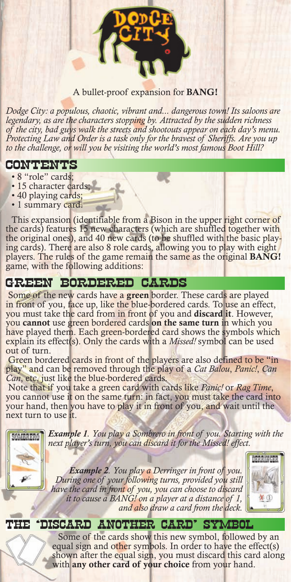

#### A bullet-proof expansion for BANG!

*Dodge City: a populous, chaotic, vibrant and... dangerous town! Its saloons are legendary, as are the characters stopping by. Attracted by the sudden richness of the city, bad guys walk the streets and shootouts appear on each day's menu. Protecting Law and Order is a task only for the bravest of Sheriffs. Are you up to the challenge, or will you be visiting the world's most famous Boot Hill?*

#### CONTENTS

- 8 "role" cards;
- 15 character cards;
- 40 playing cards;
- 1 summary card.

This expansion (identifiable from a Bison in the upper right corner of the cards) features 15 new characters (which are shuffled together with the original ones), and 40 new cards (to be shuffled with the basic playing cards). There are also 8 role cards, allowing you to play with eight players. The rules of the game remain the same as the original BANG! game, with the following additions:

# GREEN BORDERED CARDS

 Some of the new cards have a green border. These cards are played in front of you, face up, like the blue-bordered cards. To use an effect, you must take the card from in front of you and discard it. However, you cannot use green bordered cards on the same turn in which you have played them. Each green-bordered card shows the symbols which explain its effect(s). Only the cards with a *Missed!* symbol can be used out of turn.

 Green bordered cards in front of the players are also defined to be "in play" and can be removed through the play of a *Cat Balou*, *Panic!*, *Can Can*, etc. just like the blue-bordered cards.

 Note that if you take a green card with cards like *Panic!* or *Rag Time*, you cannot use it on the same turn: in fact, you must take the card into your hand, then you have to play it in front of you, and wait until the next turn to use it.



*Example 1. You play a Sombrero in front of you. Starting with the next player's turn, you can discard it for the Missed! effect.*

> *Example 2. You play a Derringer in front of you. During one of your following turns, provided you still have the card in front of you, you can choose to discard it to cause a BANG! on a player at a distance of 1, and also draw a card from the deck.*



# THE 'DISCARD ANOTHER CARD' SYMBOL

Some of the cards show this new symbol, followed by an equal sign and other symbols. In order to have the effect(s) shown after the equal sign, you must discard this card along with any other card of your choice from your hand.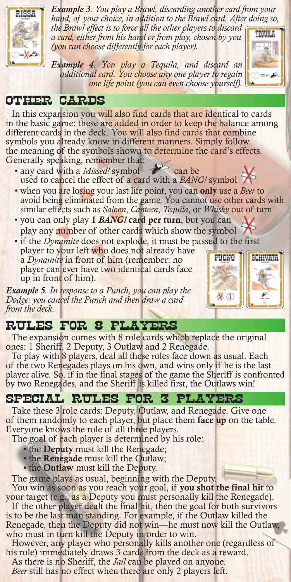

*Example 3. You play a Brawl, discarding another card from your hand, of your choice, in addition to the Brawl card. After doing so, the Brawl effect is to force all the other players to discard* 

*a card, either from his hand or from play, chosen by you (you can choose differently for each player).*

*Example 4. You play a Tequila, and discard an additional card. You choose any one player to regain one life point (you can even choose yourself).*



# OTHER CARDS

In this expansion you will also find cards that are identical to cards in the basic game: these are added in order to keep the balance among different cards in the deck. You will also find cards that combine symbols you already know in different manners. Simply follow the meaning of the symbols shown to determine the card's effects. Generally speaking, remember that:

- any card with a *Missed!* symbol can be used to cancel the effect of a card with a *BANG!* symbol
- when you are losing your last life point, you can only use a *Beer* to avoid being eliminated from the game. You cannot use other cards with similar effects such as *Saloon*, *Canteen*, *Tequila*, or *Whisky* out of turn
- you can only play 1 *BANG!* card per turn, but you can play any number of other cards which show the symbol
- if the *Dynamite* does not explode, it must be passed to the first

player to your left who does not already have a *Dynamite* in front of him (remember: no player can ever have two identical cards face up in front of him).

*Example 5. In response to a Punch, you can play the Dodge: you cancel the Punch and then draw a card from the deck.*

# RULES FOR 8 PLAYERS

The expansion comes with 8 role cards which replace the original ones: 1 Sheriff, 2 Deputy, 3 Outlaw and 2 Renegade.

To play with 8 players, deal all these roles face down as usual. Each of the two Renegades plays on his own, and wins only if he is the last player alive. So, if in the final stages of the game the Sheriff is confronted by two Renegades, and the Sheriff is killed first, the Outlaws win!

# SPECIAL RULES FOR 3 PLAYERS

Take these 3 role cards: Deputy, Outlaw, and Renegade. Give one of them randomly to each player, but place them face up on the table. Everyone knows the role of all three players.

The goal of each player is determined by his role:

- the Deputy must kill the Renegade;
- the **Renegade** must kill the Outlaw;
- the **Outlaw** must kill the Deputy.

The game plays as usual, beginning with the Deputy.

You win as soon as you reach your goal, if you shot the final hit to your target (e.g., as a Deputy you must personally kill the Renegade).

If the other player dealt the final hit, then the goal for both survivors is to be the last man standing. For example, if the Outlaw killed the Renegade, then the Deputy did not win—he must now kill the Outlaw, who must in turn kill the Deputy in order to win.

However, any player who personally kills another one (regardless of his role) immediately draws 3 cards from the deck as a reward.

As there is no Sheriff, the *Jail* can be played on anyone.

*Beer* still has no effect when there are only 2 players left.

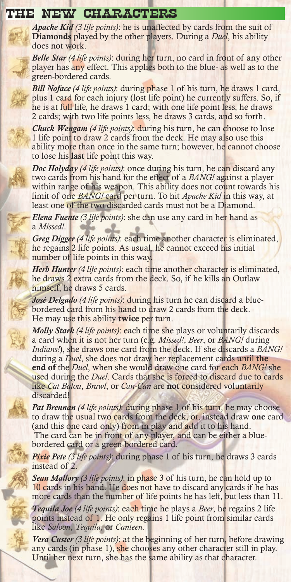#### THE NEW CHARACTERS

*Apache Kid (3 life points)*: he is unaffected by cards from the suit of Diamonds played by the other players. During a *Duel*, his ability does not work.

*Belle Star (4 life points)*: during her turn, no card in front of any other player has any effect. This applies both to the blue- as well as to the green-bordered cards.

*Bill Noface (4 life points)*: during phase 1 of his turn, he draws 1 card, plus 1 card for each injury (lost life point) he currently suffers. So, if he is at full life, he draws 1 card; with one life point less, he draws 2 cards; with two life points less, he draws 3 cards, and so forth.

*Chuck Wengam (4 life points)*: during his turn, he can choose to lose 1 life point to draw 2 cards from the deck. He may also use this ability more than once in the same turn; however, he cannot choose to lose his **last** life point this way.

*Doc Holyday (4 life points)*: once during his turn, he can discard any two cards from his hand for the effect of a *BANG!* against a player within range of his weapon. This ability does not count towards his limit of one *BANG!* card per turn. To hit *Apache Kid* in this way, at least one of the two discarded cards must not be a Diamond.

*Elena Fuente (3 life points)*: she can use any card in her hand as a *Missed!*.

*Greg Digger (4 life points)*: each time another character is eliminated, he regains 2 life points. As usual, he cannot exceed his initial number of life points in this way.

*Herb Hunter (4 life points)*: each time another character is eliminated, he draws 2 extra cards from the deck. So, if he kills an Outlaw himself, he draws 5 cards.

*José Delgado (4 life points)*: during his turn he can discard a bluebordered card from his hand to draw 2 cards from the deck. He may use this ability twice per turn.

*Molly Stark (4 life points)*: each time she plays or voluntarily discards a card when it is not her turn (e.g. *Missed!*, *Beer*, or *BANG!* during *Indians!*), she draws one card from the deck. If she discards a *BANG!* during a *Duel*, she does not draw her replacement cards until the end of the *Duel*, when she would draw one card for each *BANG!* she used during the *Duel*. Cards that she is forced to discard due to cards like *Cat Balou*, *Brawl*, or *Can-Can* are not considered voluntarily discarded!

*Pat Brennan (4 life points)*: during phase 1 of his turn, he may choose to draw the usual two cards from the deck, or, instead draw one card (and this one card only) from in play and add it to his hand. The card can be in front of any player, and can be either a bluebordered card or a green-bordered card.

*Pixie Pete (3 life points)*: during phase 1 of his turn, he draws 3 cards instead of 2.

*Sean Mallory (3 life points)*: in phase 3 of his turn, he can hold up to 10 cards in his hand. He does not have to discard any cards if he has more cards than the number of life points he has left, but less than 11.

*Tequila Joe (4 life points)*: each time he plays a *Beer*, he regains 2 life points instead of 1. He only regains 1 life point from similar cards like *Saloon*, *Tequila*, or *Canteen*.

*Vera Custer (3 life points)*: at the beginning of her turn, before drawing any cards (in phase 1), she chooses any other character still in play. Until her next turn, she has the same ability as that character.